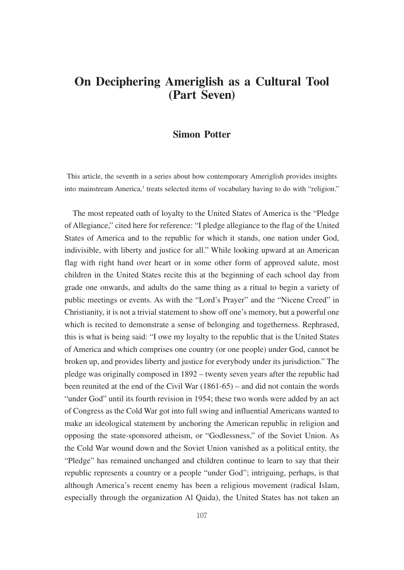## **On Deciphering Ameriglish as a Cultural Tool (Part Seven)**

## **Simon Potter**

This article, the seventh in a series about how contemporary Ameriglish provides insights into mainstream America,<sup>1</sup> treats selected items of vocabulary having to do with "religion."

The most repeated oath of loyalty to the United States of America is the "Pledge of Allegiance," cited here for reference: "I pledge allegiance to the flag of the United States of America and to the republic for which it stands, one nation under God, indivisible, with liberty and justice for all." While looking upward at an American flag with right hand over heart or in some other form of approved salute, most children in the United States recite this at the beginning of each school day from grade one onwards, and adults do the same thing as a ritual to begin a variety of public meetings or events. As with the "Lord's Prayer" and the "Nicene Creed" in Christianity, it is not a trivial statement to show off one's memory, but a powerful one which is recited to demonstrate a sense of belonging and togetherness. Rephrased, this is what is being said: "I owe my loyalty to the republic that is the United States of America and which comprises one country (or one people) under God, cannot be broken up, and provides liberty and justice for everybody under its jurisdiction." The pledge was originally composed in 1892 – twenty seven years after the republic had been reunited at the end of the Civil War (1861-65) – and did not contain the words "under God" until its fourth revision in 1954; these two words were added by an act of Congress as the Cold War got into full swing and influential Americans wanted to make an ideological statement by anchoring the American republic in religion and opposing the state-sponsored atheism, or "Godlessness," of the Soviet Union. As the Cold War wound down and the Soviet Union vanished as a political entity, the "Pledge" has remained unchanged and children continue to learn to say that their republic represents a country or a people "under God"; intriguing, perhaps, is that although America's recent enemy has been a religious movement (radical Islam, especially through the organization Al Qaida), the United States has not taken an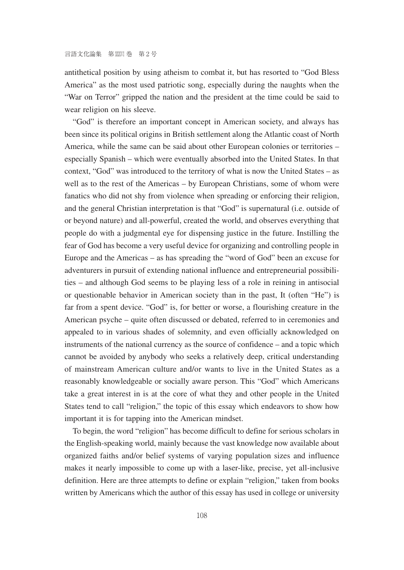antithetical position by using atheism to combat it, but has resorted to "God Bless America" as the most used patriotic song, especially during the naughts when the "War on Terror" gripped the nation and the president at the time could be said to wear religion on his sleeve.

"God" is therefore an important concept in American society, and always has been since its political origins in British settlement along the Atlantic coast of North America, while the same can be said about other European colonies or territories – especially Spanish – which were eventually absorbed into the United States. In that context, "God" was introduced to the territory of what is now the United States – as well as to the rest of the Americas – by European Christians, some of whom were fanatics who did not shy from violence when spreading or enforcing their religion, and the general Christian interpretation is that "God" is supernatural (i.e. outside of or beyond nature) and all-powerful, created the world, and observes everything that people do with a judgmental eye for dispensing justice in the future. Instilling the fear of God has become a very useful device for organizing and controlling people in Europe and the Americas – as has spreading the "word of God" been an excuse for adventurers in pursuit of extending national influence and entrepreneurial possibilities – and although God seems to be playing less of a role in reining in antisocial or questionable behavior in American society than in the past, It (often "He") is far from a spent device. "God" is, for better or worse, a flourishing creature in the American psyche – quite often discussed or debated, referred to in ceremonies and appealed to in various shades of solemnity, and even officially acknowledged on instruments of the national currency as the source of confidence – and a topic which cannot be avoided by anybody who seeks a relatively deep, critical understanding of mainstream American culture and/or wants to live in the United States as a reasonably knowledgeable or socially aware person. This "God" which Americans take a great interest in is at the core of what they and other people in the United States tend to call "religion," the topic of this essay which endeavors to show how important it is for tapping into the American mindset.

To begin, the word "religion" has become difficult to define for serious scholars in the English-speaking world, mainly because the vast knowledge now available about organized faiths and/or belief systems of varying population sizes and influence makes it nearly impossible to come up with a laser-like, precise, yet all-inclusive definition. Here are three attempts to define or explain "religion," taken from books written by Americans which the author of this essay has used in college or university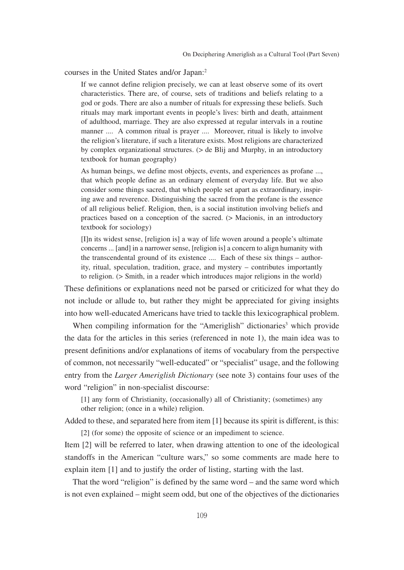courses in the United States and/or Japan:2

If we cannot define religion precisely, we can at least observe some of its overt characteristics. There are, of course, sets of traditions and beliefs relating to a god or gods. There are also a number of rituals for expressing these beliefs. Such rituals may mark important events in people's lives: birth and death, attainment of adulthood, marriage. They are also expressed at regular intervals in a routine manner .... A common ritual is prayer .... Moreover, ritual is likely to involve the religion's literature, if such a literature exists. Most religions are characterized by complex organizational structures. (> de Blij and Murphy, in an introductory textbook for human geography)

As human beings, we define most objects, events, and experiences as profane ..., that which people define as an ordinary element of everyday life. But we also consider some things sacred, that which people set apart as extraordinary, inspiring awe and reverence. Distinguishing the sacred from the profane is the essence of all religious belief. Religion, then, is a social institution involving beliefs and practices based on a conception of the sacred. (> Macionis, in an introductory textbook for sociology)

[I]n its widest sense, [religion is] a way of life woven around a people's ultimate concerns ... [and] in a narrower sense, [religion is] a concern to align humanity with the transcendental ground of its existence .... Each of these six things – authority, ritual, speculation, tradition, grace, and mystery – contributes importantly to religion. (> Smith, in a reader which introduces major religions in the world)

These definitions or explanations need not be parsed or criticized for what they do not include or allude to, but rather they might be appreciated for giving insights into how well-educated Americans have tried to tackle this lexicographical problem.

When compiling information for the "Ameriglish" dictionaries<sup>3</sup> which provide the data for the articles in this series (referenced in note 1), the main idea was to present definitions and/or explanations of items of vocabulary from the perspective of common, not necessarily "well-educated" or "specialist" usage, and the following entry from the *Larger Ameriglish Dictionary* (see note 3) contains four uses of the word "religion" in non-specialist discourse:

[1] any form of Christianity, (occasionally) all of Christianity; (sometimes) any other religion; (once in a while) religion.

Added to these, and separated here from item [1] because its spirit is different, is this:

[2] (for some) the opposite of science or an impediment to science.

Item [2] will be referred to later, when drawing attention to one of the ideological standoffs in the American "culture wars," so some comments are made here to explain item [1] and to justify the order of listing, starting with the last.

That the word "religion" is defined by the same word – and the same word which is not even explained – might seem odd, but one of the objectives of the dictionaries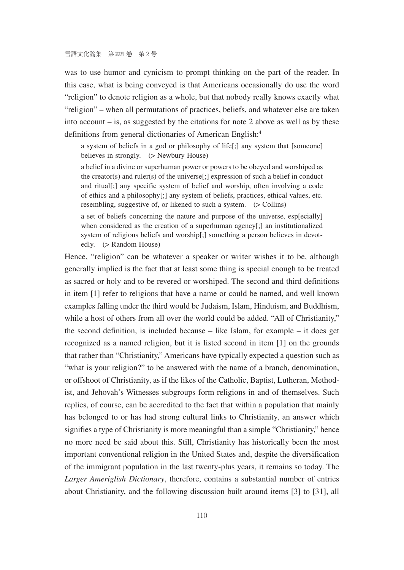was to use humor and cynicism to prompt thinking on the part of the reader. In this case, what is being conveyed is that Americans occasionally do use the word "religion" to denote religion as a whole, but that nobody really knows exactly what "religion" – when all permutations of practices, beliefs, and whatever else are taken into account  $-$  is, as suggested by the citations for note 2 above as well as by these definitions from general dictionaries of American English:<sup>4</sup>

a system of beliefs in a god or philosophy of life[;] any system that [someone] believes in strongly. (> Newbury House)

a belief in a divine or superhuman power or powers to be obeyed and worshiped as the creator(s) and ruler(s) of the universe[;] expression of such a belief in conduct and ritual[;] any specific system of belief and worship, often involving a code of ethics and a philosophy[;] any system of beliefs, practices, ethical values, etc. resembling, suggestive of, or likened to such a system. (> Collins)

a set of beliefs concerning the nature and purpose of the universe, esp[ecially] when considered as the creation of a superhuman agency[;] an institutionalized system of religious beliefs and worship[;] something a person believes in devotedly. (> Random House)

Hence, "religion" can be whatever a speaker or writer wishes it to be, although generally implied is the fact that at least some thing is special enough to be treated as sacred or holy and to be revered or worshiped. The second and third definitions in item [1] refer to religions that have a name or could be named, and well known examples falling under the third would be Judaism, Islam, Hinduism, and Buddhism, while a host of others from all over the world could be added. "All of Christianity," the second definition, is included because – like Islam, for example – it does get recognized as a named religion, but it is listed second in item [1] on the grounds that rather than "Christianity," Americans have typically expected a question such as "what is your religion?" to be answered with the name of a branch, denomination, or offshoot of Christianity, as if the likes of the Catholic, Baptist, Lutheran, Methodist, and Jehovah's Witnesses subgroups form religions in and of themselves. Such replies, of course, can be accredited to the fact that within a population that mainly has belonged to or has had strong cultural links to Christianity, an answer which signifies a type of Christianity is more meaningful than a simple "Christianity," hence no more need be said about this. Still, Christianity has historically been the most important conventional religion in the United States and, despite the diversification of the immigrant population in the last twenty-plus years, it remains so today. The *Larger Ameriglish Dictionary*, therefore, contains a substantial number of entries about Christianity, and the following discussion built around items [3] to [31], all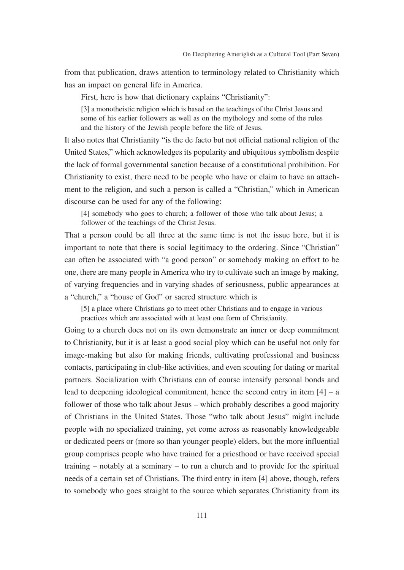from that publication, draws attention to terminology related to Christianity which has an impact on general life in America.

First, here is how that dictionary explains "Christianity":

[3] a monotheistic religion which is based on the teachings of the Christ Jesus and some of his earlier followers as well as on the mythology and some of the rules and the history of the Jewish people before the life of Jesus.

It also notes that Christianity "is the de facto but not official national religion of the United States," which acknowledges its popularity and ubiquitous symbolism despite the lack of formal governmental sanction because of a constitutional prohibition. For Christianity to exist, there need to be people who have or claim to have an attachment to the religion, and such a person is called a "Christian," which in American discourse can be used for any of the following:

[4] somebody who goes to church; a follower of those who talk about Jesus; a follower of the teachings of the Christ Jesus.

That a person could be all three at the same time is not the issue here, but it is important to note that there is social legitimacy to the ordering. Since "Christian" can often be associated with "a good person" or somebody making an effort to be one, there are many people in America who try to cultivate such an image by making, of varying frequencies and in varying shades of seriousness, public appearances at a "church," a "house of God" or sacred structure which is

[5] a place where Christians go to meet other Christians and to engage in various practices which are associated with at least one form of Christianity.

Going to a church does not on its own demonstrate an inner or deep commitment to Christianity, but it is at least a good social ploy which can be useful not only for image-making but also for making friends, cultivating professional and business contacts, participating in club-like activities, and even scouting for dating or marital partners. Socialization with Christians can of course intensify personal bonds and lead to deepening ideological commitment, hence the second entry in item  $[4]$  – a follower of those who talk about Jesus – which probably describes a good majority of Christians in the United States. Those "who talk about Jesus" might include people with no specialized training, yet come across as reasonably knowledgeable or dedicated peers or (more so than younger people) elders, but the more influential group comprises people who have trained for a priesthood or have received special training – notably at a seminary – to run a church and to provide for the spiritual needs of a certain set of Christians. The third entry in item [4] above, though, refers to somebody who goes straight to the source which separates Christianity from its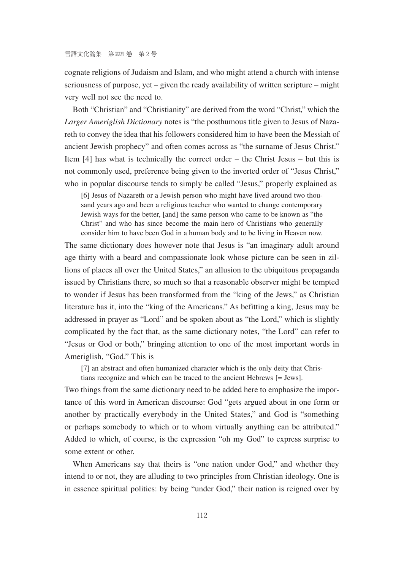cognate religions of Judaism and Islam, and who might attend a church with intense seriousness of purpose, yet – given the ready availability of written scripture – might very well not see the need to.

Both "Christian" and "Christianity" are derived from the word "Christ," which the *Larger Ameriglish Dictionary* notes is "the posthumous title given to Jesus of Nazareth to convey the idea that his followers considered him to have been the Messiah of ancient Jewish prophecy" and often comes across as "the surname of Jesus Christ." Item [4] has what is technically the correct order – the Christ Jesus – but this is not commonly used, preference being given to the inverted order of "Jesus Christ," who in popular discourse tends to simply be called "Jesus," properly explained as

[6] Jesus of Nazareth or a Jewish person who might have lived around two thousand years ago and been a religious teacher who wanted to change contemporary Jewish ways for the better, [and] the same person who came to be known as "the Christ" and who has since become the main hero of Christians who generally consider him to have been God in a human body and to be living in Heaven now.

The same dictionary does however note that Jesus is "an imaginary adult around age thirty with a beard and compassionate look whose picture can be seen in zillions of places all over the United States," an allusion to the ubiquitous propaganda issued by Christians there, so much so that a reasonable observer might be tempted to wonder if Jesus has been transformed from the "king of the Jews," as Christian literature has it, into the "king of the Americans." As befitting a king, Jesus may be addressed in prayer as "Lord" and be spoken about as "the Lord," which is slightly complicated by the fact that, as the same dictionary notes, "the Lord" can refer to "Jesus or God or both," bringing attention to one of the most important words in Ameriglish, "God." This is

[7] an abstract and often humanized character which is the only deity that Chris-

tians recognize and which can be traced to the ancient Hebrews [= Jews].

Two things from the same dictionary need to be added here to emphasize the importance of this word in American discourse: God "gets argued about in one form or another by practically everybody in the United States," and God is "something or perhaps somebody to which or to whom virtually anything can be attributed." Added to which, of course, is the expression "oh my God" to express surprise to some extent or other.

When Americans say that theirs is "one nation under God," and whether they intend to or not, they are alluding to two principles from Christian ideology. One is in essence spiritual politics: by being "under God," their nation is reigned over by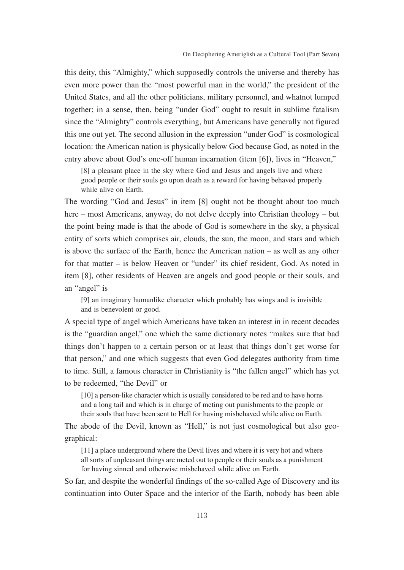this deity, this "Almighty," which supposedly controls the universe and thereby has even more power than the "most powerful man in the world," the president of the United States, and all the other politicians, military personnel, and whatnot lumped together; in a sense, then, being "under God" ought to result in sublime fatalism since the "Almighty" controls everything, but Americans have generally not figured this one out yet. The second allusion in the expression "under God" is cosmological location: the American nation is physically below God because God, as noted in the entry above about God's one-off human incarnation (item [6]), lives in "Heaven,"

[8] a pleasant place in the sky where God and Jesus and angels live and where good people or their souls go upon death as a reward for having behaved properly while alive on Earth.

The wording "God and Jesus" in item [8] ought not be thought about too much here – most Americans, anyway, do not delve deeply into Christian theology – but the point being made is that the abode of God is somewhere in the sky, a physical entity of sorts which comprises air, clouds, the sun, the moon, and stars and which is above the surface of the Earth, hence the American nation – as well as any other for that matter – is below Heaven or "under" its chief resident, God. As noted in item [8], other residents of Heaven are angels and good people or their souls, and an "angel" is

[9] an imaginary humanlike character which probably has wings and is invisible and is benevolent or good.

A special type of angel which Americans have taken an interest in in recent decades is the "guardian angel," one which the same dictionary notes "makes sure that bad things don't happen to a certain person or at least that things don't get worse for that person," and one which suggests that even God delegates authority from time to time. Still, a famous character in Christianity is "the fallen angel" which has yet to be redeemed, "the Devil" or

[10] a person-like character which is usually considered to be red and to have horns and a long tail and which is in charge of meting out punishments to the people or their souls that have been sent to Hell for having misbehaved while alive on Earth.

The abode of the Devil, known as "Hell," is not just cosmological but also geographical:

[11] a place underground where the Devil lives and where it is very hot and where all sorts of unpleasant things are meted out to people or their souls as a punishment for having sinned and otherwise misbehaved while alive on Earth.

So far, and despite the wonderful findings of the so-called Age of Discovery and its continuation into Outer Space and the interior of the Earth, nobody has been able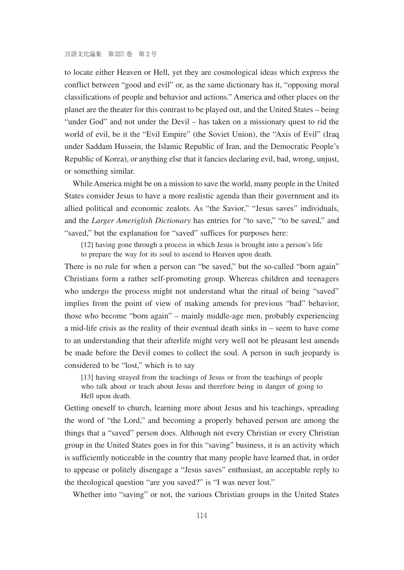to locate either Heaven or Hell, yet they are cosmological ideas which express the conflict between "good and evil" or, as the same dictionary has it, "opposing moral classifications of people and behavior and actions." America and other places on the planet are the theater for this contrast to be played out, and the United States – being "under God" and not under the Devil – has taken on a missionary quest to rid the world of evil, be it the "Evil Empire" (the Soviet Union), the "Axis of Evil" (Iraq under Saddam Hussein, the Islamic Republic of Iran, and the Democratic People's Republic of Korea), or anything else that it fancies declaring evil, bad, wrong, unjust, or something similar.

While America might be on a mission to save the world, many people in the United States consider Jesus to have a more realistic agenda than their government and its allied political and economic zealots. As "the Savior," "Jesus saves" individuals, and the *Larger Ameriglish Dictionary* has entries for "to save," "to be saved," and "saved," but the explanation for "saved" suffices for purposes here:

[12] having gone through a process in which Jesus is brought into a person's life to prepare the way for its soul to ascend to Heaven upon death.

There is no rule for when a person can "be saved," but the so-called "born again" Christians form a rather self-promoting group. Whereas children and teenagers who undergo the process might not understand what the ritual of being "saved" implies from the point of view of making amends for previous "bad" behavior, those who become "born again" – mainly middle-age men, probably experiencing a mid-life crisis as the reality of their eventual death sinks in – seem to have come to an understanding that their afterlife might very well not be pleasant lest amends be made before the Devil comes to collect the soul. A person in such jeopardy is considered to be "lost," which is to say

[13] having strayed from the teachings of Jesus or from the teachings of people who talk about or teach about Jesus and therefore being in danger of going to Hell upon death.

Getting oneself to church, learning more about Jesus and his teachings, spreading the word of "the Lord," and becoming a properly behaved person are among the things that a "saved" person does. Although not every Christian or every Christian group in the United States goes in for this "saving" business, it is an activity which is sufficiently noticeable in the country that many people have learned that, in order to appease or politely disengage a "Jesus saves" enthusiast, an acceptable reply to the theological question "are you saved?" is "I was never lost."

Whether into "saving" or not, the various Christian groups in the United States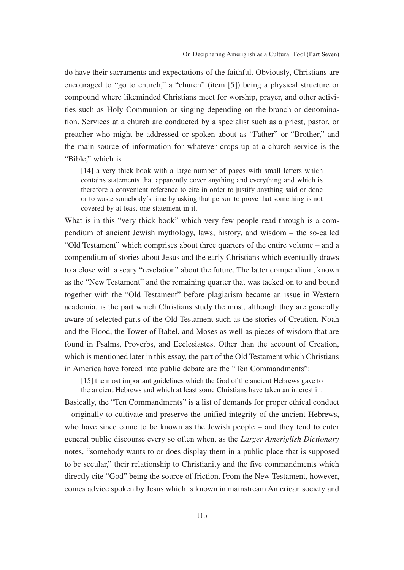do have their sacraments and expectations of the faithful. Obviously, Christians are encouraged to "go to church," a "church" (item [5]) being a physical structure or compound where likeminded Christians meet for worship, prayer, and other activities such as Holy Communion or singing depending on the branch or denomination. Services at a church are conducted by a specialist such as a priest, pastor, or preacher who might be addressed or spoken about as "Father" or "Brother," and the main source of information for whatever crops up at a church service is the "Bible," which is

[14] a very thick book with a large number of pages with small letters which contains statements that apparently cover anything and everything and which is therefore a convenient reference to cite in order to justify anything said or done or to waste somebody's time by asking that person to prove that something is not covered by at least one statement in it.

What is in this "very thick book" which very few people read through is a compendium of ancient Jewish mythology, laws, history, and wisdom – the so-called "Old Testament" which comprises about three quarters of the entire volume – and a compendium of stories about Jesus and the early Christians which eventually draws to a close with a scary "revelation" about the future. The latter compendium, known as the "New Testament" and the remaining quarter that was tacked on to and bound together with the "Old Testament" before plagiarism became an issue in Western academia, is the part which Christians study the most, although they are generally aware of selected parts of the Old Testament such as the stories of Creation, Noah and the Flood, the Tower of Babel, and Moses as well as pieces of wisdom that are found in Psalms, Proverbs, and Ecclesiastes. Other than the account of Creation, which is mentioned later in this essay, the part of the Old Testament which Christians in America have forced into public debate are the "Ten Commandments":

[15] the most important guidelines which the God of the ancient Hebrews gave to

the ancient Hebrews and which at least some Christians have taken an interest in. Basically, the "Ten Commandments" is a list of demands for proper ethical conduct – originally to cultivate and preserve the unified integrity of the ancient Hebrews, who have since come to be known as the Jewish people – and they tend to enter general public discourse every so often when, as the *Larger Ameriglish Dictionary* notes, "somebody wants to or does display them in a public place that is supposed to be secular," their relationship to Christianity and the five commandments which directly cite "God" being the source of friction. From the New Testament, however, comes advice spoken by Jesus which is known in mainstream American society and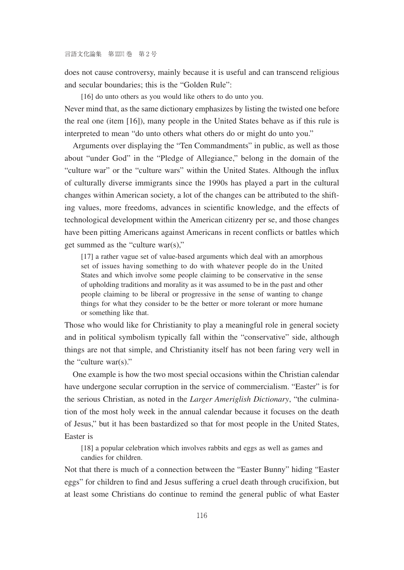does not cause controversy, mainly because it is useful and can transcend religious and secular boundaries; this is the "Golden Rule":

[16] do unto others as you would like others to do unto you.

Never mind that, as the same dictionary emphasizes by listing the twisted one before the real one (item [16]), many people in the United States behave as if this rule is interpreted to mean "do unto others what others do or might do unto you."

Arguments over displaying the "Ten Commandments" in public, as well as those about "under God" in the "Pledge of Allegiance," belong in the domain of the "culture war" or the "culture wars" within the United States. Although the influx of culturally diverse immigrants since the 1990s has played a part in the cultural changes within American society, a lot of the changes can be attributed to the shifting values, more freedoms, advances in scientific knowledge, and the effects of technological development within the American citizenry per se, and those changes have been pitting Americans against Americans in recent conflicts or battles which get summed as the "culture war(s),"

[17] a rather vague set of value-based arguments which deal with an amorphous set of issues having something to do with whatever people do in the United States and which involve some people claiming to be conservative in the sense of upholding traditions and morality as it was assumed to be in the past and other people claiming to be liberal or progressive in the sense of wanting to change things for what they consider to be the better or more tolerant or more humane or something like that.

Those who would like for Christianity to play a meaningful role in general society and in political symbolism typically fall within the "conservative" side, although things are not that simple, and Christianity itself has not been faring very well in the "culture war(s)."

One example is how the two most special occasions within the Christian calendar have undergone secular corruption in the service of commercialism. "Easter" is for the serious Christian, as noted in the *Larger Ameriglish Dictionary*, "the culmination of the most holy week in the annual calendar because it focuses on the death of Jesus," but it has been bastardized so that for most people in the United States, Easter is

[18] a popular celebration which involves rabbits and eggs as well as games and candies for children.

Not that there is much of a connection between the "Easter Bunny" hiding "Easter eggs" for children to find and Jesus suffering a cruel death through crucifixion, but at least some Christians do continue to remind the general public of what Easter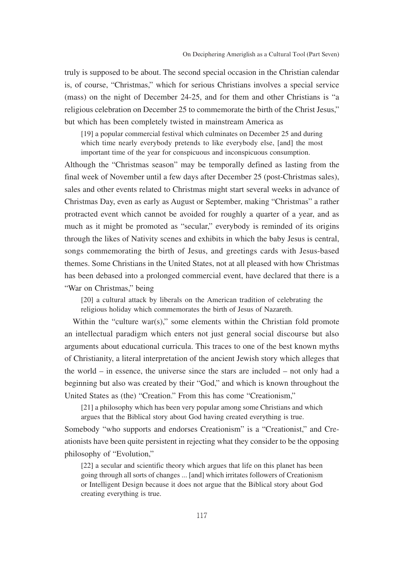truly is supposed to be about. The second special occasion in the Christian calendar is, of course, "Christmas," which for serious Christians involves a special service (mass) on the night of December 24-25, and for them and other Christians is "a religious celebration on December 25 to commemorate the birth of the Christ Jesus," but which has been completely twisted in mainstream America as

[19] a popular commercial festival which culminates on December 25 and during which time nearly everybody pretends to like everybody else, [and] the most important time of the year for conspicuous and inconspicuous consumption.

Although the "Christmas season" may be temporally defined as lasting from the final week of November until a few days after December 25 (post-Christmas sales), sales and other events related to Christmas might start several weeks in advance of Christmas Day, even as early as August or September, making "Christmas" a rather protracted event which cannot be avoided for roughly a quarter of a year, and as much as it might be promoted as "secular," everybody is reminded of its origins through the likes of Nativity scenes and exhibits in which the baby Jesus is central, songs commemorating the birth of Jesus, and greetings cards with Jesus-based themes. Some Christians in the United States, not at all pleased with how Christmas has been debased into a prolonged commercial event, have declared that there is a "War on Christmas," being

[20] a cultural attack by liberals on the American tradition of celebrating the religious holiday which commemorates the birth of Jesus of Nazareth.

Within the "culture war(s)," some elements within the Christian fold promote an intellectual paradigm which enters not just general social discourse but also arguments about educational curricula. This traces to one of the best known myths of Christianity, a literal interpretation of the ancient Jewish story which alleges that the world – in essence, the universe since the stars are included – not only had a beginning but also was created by their "God," and which is known throughout the United States as (the) "Creation." From this has come "Creationism,"

[21] a philosophy which has been very popular among some Christians and which argues that the Biblical story about God having created everything is true.

Somebody "who supports and endorses Creationism" is a "Creationist," and Creationists have been quite persistent in rejecting what they consider to be the opposing philosophy of "Evolution,"

[22] a secular and scientific theory which argues that life on this planet has been going through all sorts of changes ... [and] which irritates followers of Creationism or Intelligent Design because it does not argue that the Biblical story about God creating everything is true.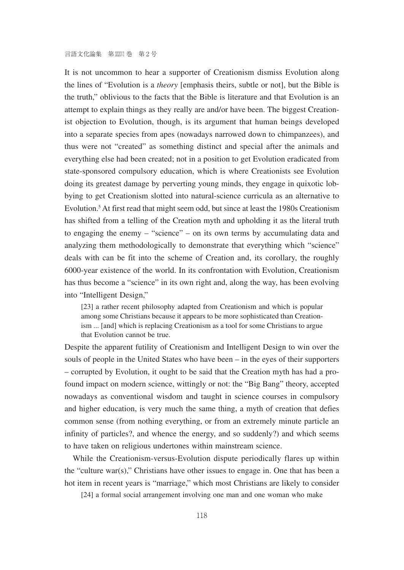It is not uncommon to hear a supporter of Creationism dismiss Evolution along the lines of "Evolution is a *theory* [emphasis theirs, subtle or not], but the Bible is the truth," oblivious to the facts that the Bible is literature and that Evolution is an attempt to explain things as they really are and/or have been. The biggest Creationist objection to Evolution, though, is its argument that human beings developed into a separate species from apes (nowadays narrowed down to chimpanzees), and thus were not "created" as something distinct and special after the animals and everything else had been created; not in a position to get Evolution eradicated from state-sponsored compulsory education, which is where Creationists see Evolution doing its greatest damage by perverting young minds, they engage in quixotic lobbying to get Creationism slotted into natural-science curricula as an alternative to Evolution.<sup>5</sup> At first read that might seem odd, but since at least the 1980s Creationism has shifted from a telling of the Creation myth and upholding it as the literal truth to engaging the enemy – "science" – on its own terms by accumulating data and analyzing them methodologically to demonstrate that everything which "science" deals with can be fit into the scheme of Creation and, its corollary, the roughly 6000-year existence of the world. In its confrontation with Evolution, Creationism has thus become a "science" in its own right and, along the way, has been evolving into "Intelligent Design,"

[23] a rather recent philosophy adapted from Creationism and which is popular among some Christians because it appears to be more sophisticated than Creationism ... [and] which is replacing Creationism as a tool for some Christians to argue that Evolution cannot be true.

Despite the apparent futility of Creationism and Intelligent Design to win over the souls of people in the United States who have been – in the eyes of their supporters – corrupted by Evolution, it ought to be said that the Creation myth has had a profound impact on modern science, wittingly or not: the "Big Bang" theory, accepted nowadays as conventional wisdom and taught in science courses in compulsory and higher education, is very much the same thing, a myth of creation that defies common sense (from nothing everything, or from an extremely minute particle an infinity of particles?, and whence the energy, and so suddenly?) and which seems to have taken on religious undertones within mainstream science.

While the Creationism-versus-Evolution dispute periodically flares up within the "culture war(s)," Christians have other issues to engage in. One that has been a hot item in recent years is "marriage," which most Christians are likely to consider

[24] a formal social arrangement involving one man and one woman who make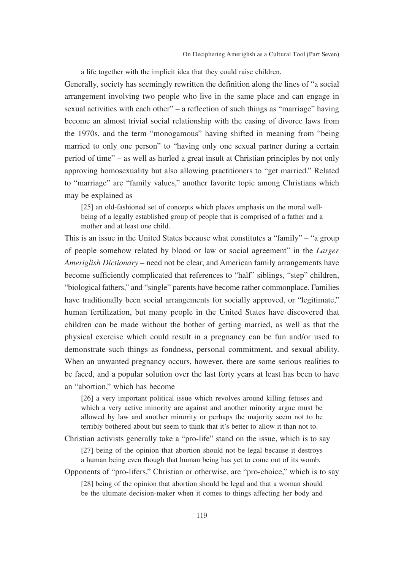a life together with the implicit idea that they could raise children.

Generally, society has seemingly rewritten the definition along the lines of "a social arrangement involving two people who live in the same place and can engage in sexual activities with each other" – a reflection of such things as "marriage" having become an almost trivial social relationship with the easing of divorce laws from the 1970s, and the term "monogamous" having shifted in meaning from "being married to only one person" to "having only one sexual partner during a certain period of time" – as well as hurled a great insult at Christian principles by not only approving homosexuality but also allowing practitioners to "get married." Related to "marriage" are "family values," another favorite topic among Christians which may be explained as

[25] an old-fashioned set of concepts which places emphasis on the moral wellbeing of a legally established group of people that is comprised of a father and a mother and at least one child.

This is an issue in the United States because what constitutes a "family" – "a group of people somehow related by blood or law or social agreement" in the *Larger Ameriglish Dictionary* – need not be clear, and American family arrangements have become sufficiently complicated that references to "half" siblings, "step" children, "biological fathers," and "single" parents have become rather commonplace. Families have traditionally been social arrangements for socially approved, or "legitimate," human fertilization, but many people in the United States have discovered that children can be made without the bother of getting married, as well as that the physical exercise which could result in a pregnancy can be fun and/or used to demonstrate such things as fondness, personal commitment, and sexual ability. When an unwanted pregnancy occurs, however, there are some serious realities to be faced, and a popular solution over the last forty years at least has been to have an "abortion," which has become

[26] a very important political issue which revolves around killing fetuses and which a very active minority are against and another minority argue must be allowed by law and another minority or perhaps the majority seem not to be terribly bothered about but seem to think that it's better to allow it than not to.

Christian activists generally take a "pro-life" stand on the issue, which is to say [27] being of the opinion that abortion should not be legal because it destroys a human being even though that human being has yet to come out of its womb.

Opponents of "pro-lifers," Christian or otherwise, are "pro-choice," which is to say

[28] being of the opinion that abortion should be legal and that a woman should be the ultimate decision-maker when it comes to things affecting her body and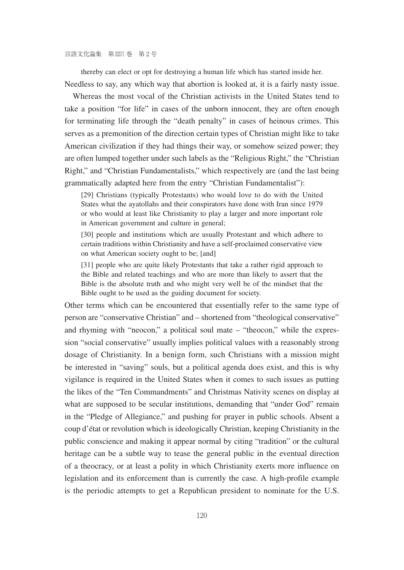thereby can elect or opt for destroying a human life which has started inside her. Needless to say, any which way that abortion is looked at, it is a fairly nasty issue.

Whereas the most vocal of the Christian activists in the United States tend to take a position "for life" in cases of the unborn innocent, they are often enough for terminating life through the "death penalty" in cases of heinous crimes. This serves as a premonition of the direction certain types of Christian might like to take American civilization if they had things their way, or somehow seized power; they are often lumped together under such labels as the "Religious Right," the "Christian Right," and "Christian Fundamentalists," which respectively are (and the last being grammatically adapted here from the entry "Christian Fundamentalist"):

[29] Christians (typically Protestants) who would love to do with the United States what the ayatollahs and their conspirators have done with Iran since 1979 or who would at least like Christianity to play a larger and more important role in American government and culture in general;

[30] people and institutions which are usually Protestant and which adhere to certain traditions within Christianity and have a self-proclaimed conservative view on what American society ought to be; [and]

[31] people who are quite likely Protestants that take a rather rigid approach to the Bible and related teachings and who are more than likely to assert that the Bible is the absolute truth and who might very well be of the mindset that the Bible ought to be used as the guiding document for society.

Other terms which can be encountered that essentially refer to the same type of person are "conservative Christian" and – shortened from "theological conservative" and rhyming with "neocon," a political soul mate – "theocon," while the expression "social conservative" usually implies political values with a reasonably strong dosage of Christianity. In a benign form, such Christians with a mission might be interested in "saving" souls, but a political agenda does exist, and this is why vigilance is required in the United States when it comes to such issues as putting the likes of the "Ten Commandments" and Christmas Nativity scenes on display at what are supposed to be secular institutions, demanding that "under God" remain in the "Pledge of Allegiance," and pushing for prayer in public schools. Absent a coup d'état or revolution which is ideologically Christian, keeping Christianity in the public conscience and making it appear normal by citing "tradition" or the cultural heritage can be a subtle way to tease the general public in the eventual direction of a theocracy, or at least a polity in which Christianity exerts more influence on legislation and its enforcement than is currently the case. A high-profile example is the periodic attempts to get a Republican president to nominate for the U.S.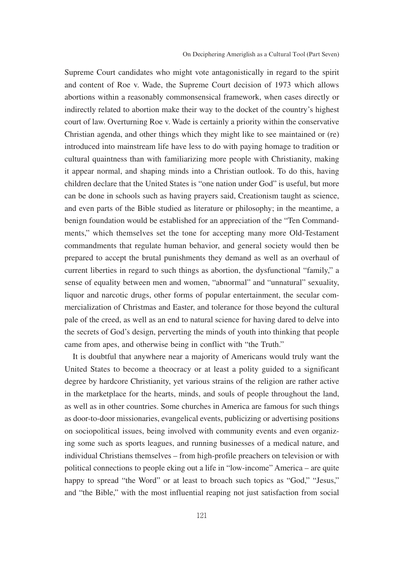Supreme Court candidates who might vote antagonistically in regard to the spirit and content of Roe v. Wade, the Supreme Court decision of 1973 which allows abortions within a reasonably commonsensical framework, when cases directly or indirectly related to abortion make their way to the docket of the country's highest court of law. Overturning Roe v. Wade is certainly a priority within the conservative Christian agenda, and other things which they might like to see maintained or (re) introduced into mainstream life have less to do with paying homage to tradition or cultural quaintness than with familiarizing more people with Christianity, making it appear normal, and shaping minds into a Christian outlook. To do this, having children declare that the United States is "one nation under God" is useful, but more can be done in schools such as having prayers said, Creationism taught as science, and even parts of the Bible studied as literature or philosophy; in the meantime, a benign foundation would be established for an appreciation of the "Ten Commandments," which themselves set the tone for accepting many more Old-Testament commandments that regulate human behavior, and general society would then be prepared to accept the brutal punishments they demand as well as an overhaul of current liberties in regard to such things as abortion, the dysfunctional "family," a sense of equality between men and women, "abnormal" and "unnatural" sexuality, liquor and narcotic drugs, other forms of popular entertainment, the secular commercialization of Christmas and Easter, and tolerance for those beyond the cultural pale of the creed, as well as an end to natural science for having dared to delve into the secrets of God's design, perverting the minds of youth into thinking that people came from apes, and otherwise being in conflict with "the Truth."

It is doubtful that anywhere near a majority of Americans would truly want the United States to become a theocracy or at least a polity guided to a significant degree by hardcore Christianity, yet various strains of the religion are rather active in the marketplace for the hearts, minds, and souls of people throughout the land, as well as in other countries. Some churches in America are famous for such things as door-to-door missionaries, evangelical events, publicizing or advertising positions on sociopolitical issues, being involved with community events and even organizing some such as sports leagues, and running businesses of a medical nature, and individual Christians themselves – from high-profile preachers on television or with political connections to people eking out a life in "low-income" America – are quite happy to spread "the Word" or at least to broach such topics as "God," "Jesus," and "the Bible," with the most influential reaping not just satisfaction from social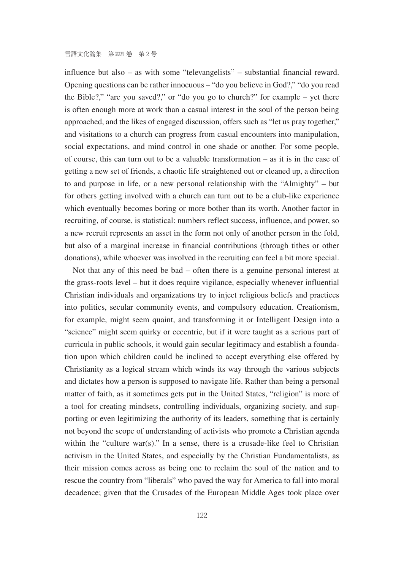influence but also – as with some "televangelists" – substantial financial reward. Opening questions can be rather innocuous – "do you believe in God?," "do you read the Bible?," "are you saved?," or "do you go to church?" for example – yet there is often enough more at work than a casual interest in the soul of the person being approached, and the likes of engaged discussion, offers such as "let us pray together," and visitations to a church can progress from casual encounters into manipulation, social expectations, and mind control in one shade or another. For some people, of course, this can turn out to be a valuable transformation – as it is in the case of getting a new set of friends, a chaotic life straightened out or cleaned up, a direction to and purpose in life, or a new personal relationship with the "Almighty" – but for others getting involved with a church can turn out to be a club-like experience which eventually becomes boring or more bother than its worth. Another factor in recruiting, of course, is statistical: numbers reflect success, influence, and power, so a new recruit represents an asset in the form not only of another person in the fold, but also of a marginal increase in financial contributions (through tithes or other donations), while whoever was involved in the recruiting can feel a bit more special.

Not that any of this need be bad – often there is a genuine personal interest at the grass-roots level – but it does require vigilance, especially whenever influential Christian individuals and organizations try to inject religious beliefs and practices into politics, secular community events, and compulsory education. Creationism, for example, might seem quaint, and transforming it or Intelligent Design into a "science" might seem quirky or eccentric, but if it were taught as a serious part of curricula in public schools, it would gain secular legitimacy and establish a foundation upon which children could be inclined to accept everything else offered by Christianity as a logical stream which winds its way through the various subjects and dictates how a person is supposed to navigate life. Rather than being a personal matter of faith, as it sometimes gets put in the United States, "religion" is more of a tool for creating mindsets, controlling individuals, organizing society, and supporting or even legitimizing the authority of its leaders, something that is certainly not beyond the scope of understanding of activists who promote a Christian agenda within the "culture war(s)." In a sense, there is a crusade-like feel to Christian activism in the United States, and especially by the Christian Fundamentalists, as their mission comes across as being one to reclaim the soul of the nation and to rescue the country from "liberals" who paved the way for America to fall into moral decadence; given that the Crusades of the European Middle Ages took place over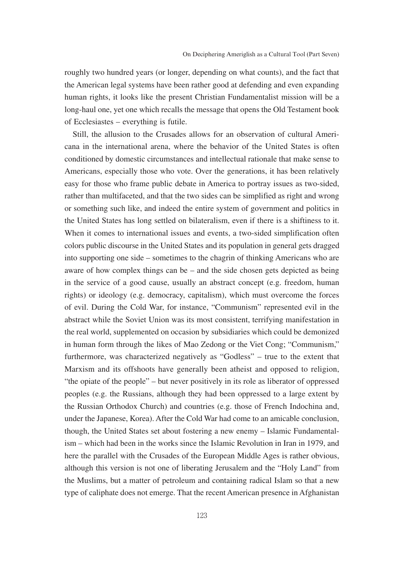roughly two hundred years (or longer, depending on what counts), and the fact that the American legal systems have been rather good at defending and even expanding human rights, it looks like the present Christian Fundamentalist mission will be a long-haul one, yet one which recalls the message that opens the Old Testament book of Ecclesiastes – everything is futile.

Still, the allusion to the Crusades allows for an observation of cultural Americana in the international arena, where the behavior of the United States is often conditioned by domestic circumstances and intellectual rationale that make sense to Americans, especially those who vote. Over the generations, it has been relatively easy for those who frame public debate in America to portray issues as two-sided, rather than multifaceted, and that the two sides can be simplified as right and wrong or something such like, and indeed the entire system of government and politics in the United States has long settled on bilateralism, even if there is a shiftiness to it. When it comes to international issues and events, a two-sided simplification often colors public discourse in the United States and its population in general gets dragged into supporting one side – sometimes to the chagrin of thinking Americans who are aware of how complex things can be – and the side chosen gets depicted as being in the service of a good cause, usually an abstract concept (e.g. freedom, human rights) or ideology (e.g. democracy, capitalism), which must overcome the forces of evil. During the Cold War, for instance, "Communism" represented evil in the abstract while the Soviet Union was its most consistent, terrifying manifestation in the real world, supplemented on occasion by subsidiaries which could be demonized in human form through the likes of Mao Zedong or the Viet Cong; "Communism," furthermore, was characterized negatively as "Godless" – true to the extent that Marxism and its offshoots have generally been atheist and opposed to religion, "the opiate of the people" – but never positively in its role as liberator of oppressed peoples (e.g. the Russians, although they had been oppressed to a large extent by the Russian Orthodox Church) and countries (e.g. those of French Indochina and, under the Japanese, Korea). After the Cold War had come to an amicable conclusion, though, the United States set about fostering a new enemy – Islamic Fundamentalism – which had been in the works since the Islamic Revolution in Iran in 1979, and here the parallel with the Crusades of the European Middle Ages is rather obvious, although this version is not one of liberating Jerusalem and the "Holy Land" from the Muslims, but a matter of petroleum and containing radical Islam so that a new type of caliphate does not emerge. That the recent American presence in Afghanistan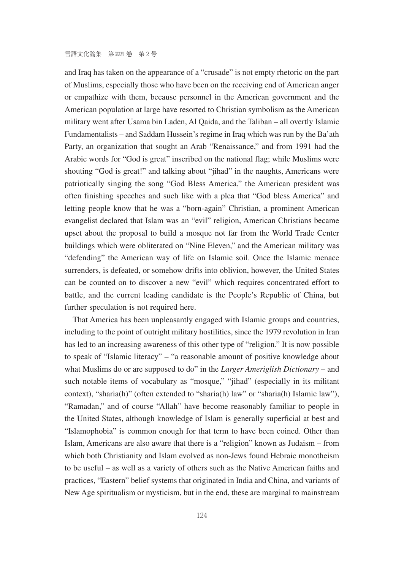言語文化論集 第 XXVI 巻 第 2 号

and Iraq has taken on the appearance of a "crusade" is not empty rhetoric on the part of Muslims, especially those who have been on the receiving end of American anger or empathize with them, because personnel in the American government and the American population at large have resorted to Christian symbolism as the American military went after Usama bin Laden, Al Qaida, and the Taliban – all overtly Islamic Fundamentalists – and Saddam Hussein's regime in Iraq which was run by the Ba'ath Party, an organization that sought an Arab "Renaissance," and from 1991 had the Arabic words for "God is great" inscribed on the national flag; while Muslims were shouting "God is great!" and talking about "jihad" in the naughts, Americans were patriotically singing the song "God Bless America," the American president was often finishing speeches and such like with a plea that "God bless America" and letting people know that he was a "born-again" Christian, a prominent American evangelist declared that Islam was an "evil" religion, American Christians became upset about the proposal to build a mosque not far from the World Trade Center buildings which were obliterated on "Nine Eleven," and the American military was "defending" the American way of life on Islamic soil. Once the Islamic menace surrenders, is defeated, or somehow drifts into oblivion, however, the United States can be counted on to discover a new "evil" which requires concentrated effort to battle, and the current leading candidate is the People's Republic of China, but further speculation is not required here.

That America has been unpleasantly engaged with Islamic groups and countries, including to the point of outright military hostilities, since the 1979 revolution in Iran has led to an increasing awareness of this other type of "religion." It is now possible to speak of "Islamic literacy" – "a reasonable amount of positive knowledge about what Muslims do or are supposed to do" in the *Larger Ameriglish Dictionary* – and such notable items of vocabulary as "mosque," "jihad" (especially in its militant context), "sharia(h)" (often extended to "sharia(h) law" or "sharia(h) Islamic law"), "Ramadan," and of course "Allah" have become reasonably familiar to people in the United States, although knowledge of Islam is generally superficial at best and "Islamophobia" is common enough for that term to have been coined. Other than Islam, Americans are also aware that there is a "religion" known as Judaism – from which both Christianity and Islam evolved as non-Jews found Hebraic monotheism to be useful – as well as a variety of others such as the Native American faiths and practices, "Eastern" belief systems that originated in India and China, and variants of New Age spiritualism or mysticism, but in the end, these are marginal to mainstream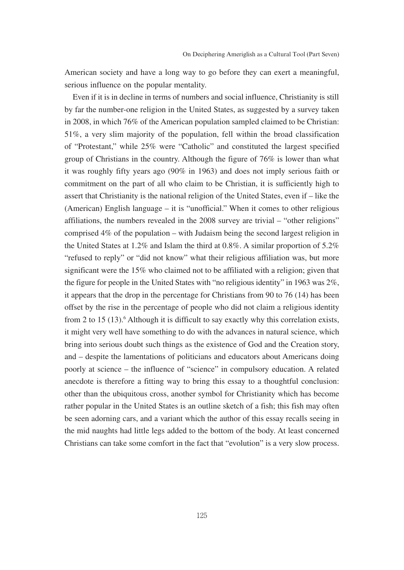American society and have a long way to go before they can exert a meaningful, serious influence on the popular mentality.

Even if it is in decline in terms of numbers and social influence, Christianity is still by far the number-one religion in the United States, as suggested by a survey taken in 2008, in which 76% of the American population sampled claimed to be Christian: 51%, a very slim majority of the population, fell within the broad classification of "Protestant," while 25% were "Catholic" and constituted the largest specified group of Christians in the country. Although the figure of 76% is lower than what it was roughly fifty years ago (90% in 1963) and does not imply serious faith or commitment on the part of all who claim to be Christian, it is sufficiently high to assert that Christianity is the national religion of the United States, even if – like the (American) English language – it is "unofficial." When it comes to other religious affiliations, the numbers revealed in the 2008 survey are trivial – "other religions" comprised 4% of the population – with Judaism being the second largest religion in the United States at 1.2% and Islam the third at 0.8%. A similar proportion of 5.2% "refused to reply" or "did not know" what their religious affiliation was, but more significant were the 15% who claimed not to be affiliated with a religion; given that the figure for people in the United States with "no religious identity" in 1963 was 2%, it appears that the drop in the percentage for Christians from 90 to 76 (14) has been offset by the rise in the percentage of people who did not claim a religious identity from 2 to 15 (13).<sup>6</sup> Although it is difficult to say exactly why this correlation exists, it might very well have something to do with the advances in natural science, which bring into serious doubt such things as the existence of God and the Creation story, and – despite the lamentations of politicians and educators about Americans doing poorly at science – the influence of "science" in compulsory education. A related anecdote is therefore a fitting way to bring this essay to a thoughtful conclusion: other than the ubiquitous cross, another symbol for Christianity which has become rather popular in the United States is an outline sketch of a fish; this fish may often be seen adorning cars, and a variant which the author of this essay recalls seeing in the mid naughts had little legs added to the bottom of the body. At least concerned Christians can take some comfort in the fact that "evolution" is a very slow process.